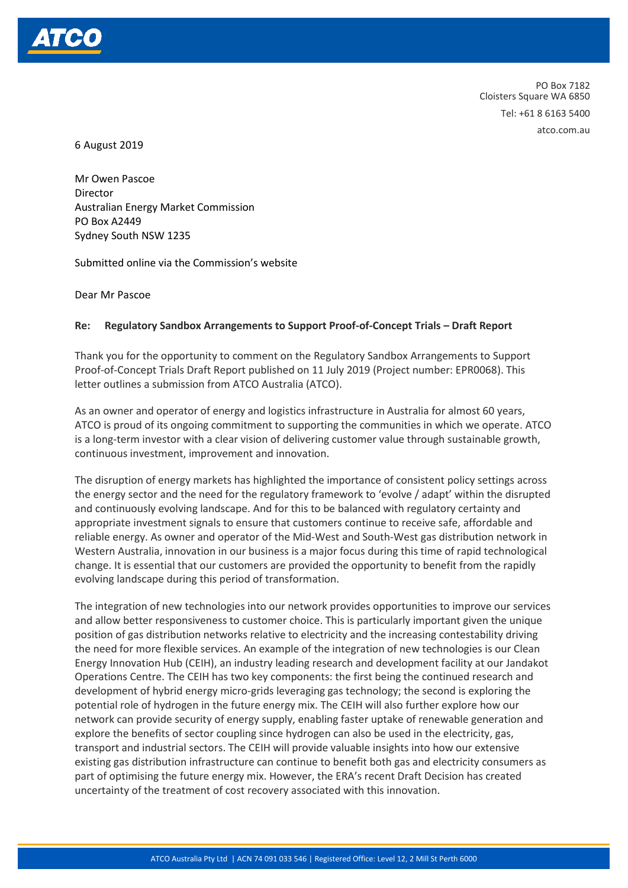

PO Box 7182 Cloisters Square WA 6850 Tel: +61 8 6163 5400 atco.com.au

6 August 2019

Mr Owen Pascoe **Director** Australian Energy Market Commission PO Box A2449 Sydney South NSW 1235

Submitted online via the Commission's website

Dear Mr Pascoe

## **Re: Regulatory Sandbox Arrangements to Support Proof-of-Concept Trials – Draft Report**

Thank you for the opportunity to comment on the Regulatory Sandbox Arrangements to Support Proof-of-Concept Trials Draft Report published on 11 July 2019 (Project number: EPR0068). This letter outlines a submission from ATCO Australia (ATCO).

As an owner and operator of energy and logistics infrastructure in Australia for almost 60 years, ATCO is proud of its ongoing commitment to supporting the communities in which we operate. ATCO is a long-term investor with a clear vision of delivering customer value through sustainable growth, continuous investment, improvement and innovation.

The disruption of energy markets has highlighted the importance of consistent policy settings across the energy sector and the need for the regulatory framework to 'evolve / adapt' within the disrupted and continuously evolving landscape. And for this to be balanced with regulatory certainty and appropriate investment signals to ensure that customers continue to receive safe, affordable and reliable energy. As owner and operator of the Mid-West and South-West gas distribution network in Western Australia, innovation in our business is a major focus during this time of rapid technological change. It is essential that our customers are provided the opportunity to benefit from the rapidly evolving landscape during this period of transformation.

The integration of new technologies into our network provides opportunities to improve our services and allow better responsiveness to customer choice. This is particularly important given the unique position of gas distribution networks relative to electricity and the increasing contestability driving the need for more flexible services. An example of the integration of new technologies is our Clean Energy Innovation Hub (CEIH), an industry leading research and development facility at our Jandakot Operations Centre. The CEIH has two key components: the first being the continued research and development of hybrid energy micro-grids leveraging gas technology; the second is exploring the potential role of hydrogen in the future energy mix. The CEIH will also further explore how our network can provide security of energy supply, enabling faster uptake of renewable generation and explore the benefits of sector coupling since hydrogen can also be used in the electricity, gas, transport and industrial sectors. The CEIH will provide valuable insights into how our extensive existing gas distribution infrastructure can continue to benefit both gas and electricity consumers as part of optimising the future energy mix. However, the ERA's recent Draft Decision has created uncertainty of the treatment of cost recovery associated with this innovation.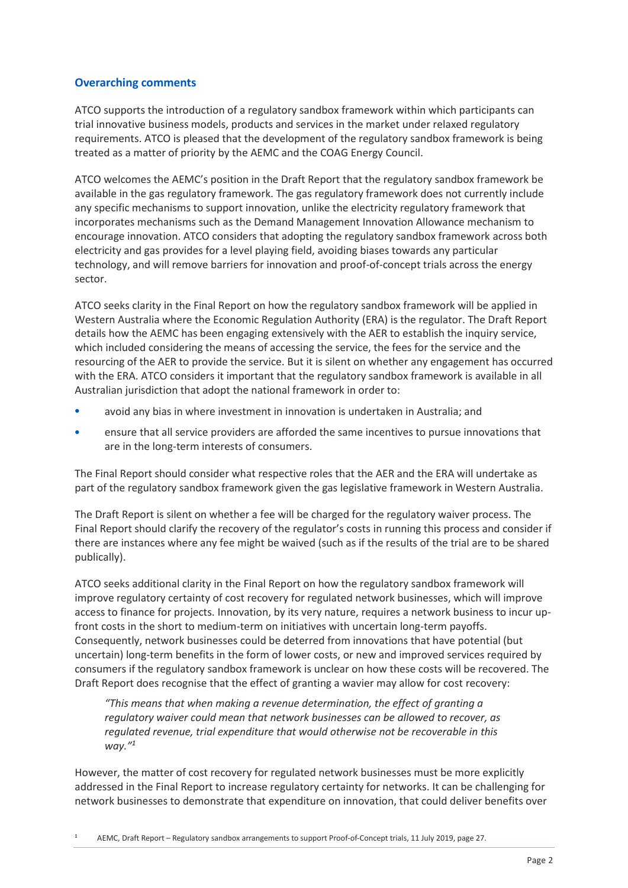## **Overarching comments**

ATCO supports the introduction of a regulatory sandbox framework within which participants can trial innovative business models, products and services in the market under relaxed regulatory requirements. ATCO is pleased that the development of the regulatory sandbox framework is being treated as a matter of priority by the AEMC and the COAG Energy Council.

ATCO welcomes the AEMC's position in the Draft Report that the regulatory sandbox framework be available in the gas regulatory framework. The gas regulatory framework does not currently include any specific mechanisms to support innovation, unlike the electricity regulatory framework that incorporates mechanisms such as the Demand Management Innovation Allowance mechanism to encourage innovation. ATCO considers that adopting the regulatory sandbox framework across both electricity and gas provides for a level playing field, avoiding biases towards any particular technology, and will remove barriers for innovation and proof-of-concept trials across the energy sector.

ATCO seeks clarity in the Final Report on how the regulatory sandbox framework will be applied in Western Australia where the Economic Regulation Authority (ERA) is the regulator. The Draft Report details how the AEMC has been engaging extensively with the AER to establish the inquiry service, which included considering the means of accessing the service, the fees for the service and the resourcing of the AER to provide the service. But it is silent on whether any engagement has occurred with the ERA. ATCO considers it important that the regulatory sandbox framework is available in all Australian jurisdiction that adopt the national framework in order to:

- avoid any bias in where investment in innovation is undertaken in Australia; and
- ensure that all service providers are afforded the same incentives to pursue innovations that are in the long-term interests of consumers.

The Final Report should consider what respective roles that the AER and the ERA will undertake as part of the regulatory sandbox framework given the gas legislative framework in Western Australia.

The Draft Report is silent on whether a fee will be charged for the regulatory waiver process. The Final Report should clarify the recovery of the regulator's costs in running this process and consider if there are instances where any fee might be waived (such as if the results of the trial are to be shared publically).

ATCO seeks additional clarity in the Final Report on how the regulatory sandbox framework will improve regulatory certainty of cost recovery for regulated network businesses, which will improve access to finance for projects. Innovation, by its very nature, requires a network business to incur upfront costs in the short to medium-term on initiatives with uncertain long-term payoffs. Consequently, network businesses could be deterred from innovations that have potential (but uncertain) long-term benefits in the form of lower costs, or new and improved services required by consumers if the regulatory sandbox framework is unclear on how these costs will be recovered. The Draft Report does recognise that the effect of granting a wavier may allow for cost recovery:

*"This means that when making a revenue determination, the effect of granting a regulatory waiver could mean that network businesses can be allowed to recover, as regulated revenue, trial expenditure that would otherwise not be recoverable in this way."<sup>1</sup>*

However, the matter of cost recovery for regulated network businesses must be more explicitly addressed in the Final Report to increase regulatory certainty for networks. It can be challenging for network businesses to demonstrate that expenditure on innovation, that could deliver benefits over

<sup>1</sup> AEMC, Draft Report – Regulatory sandbox arrangements to support Proof-of-Concept trials, 11 July 2019, page 27.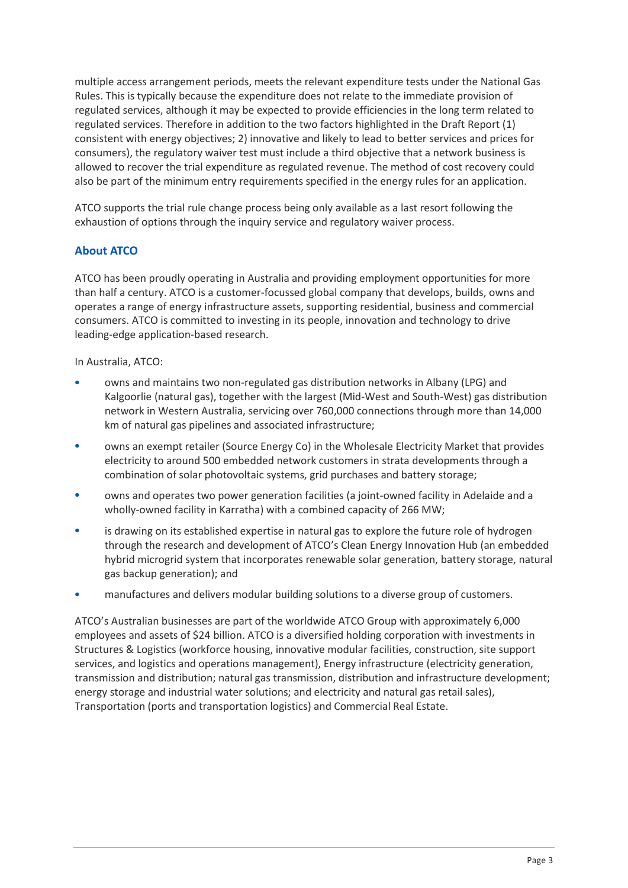multiple access arrangement periods, meets the relevant expenditure tests under the National Gas Rules. This is typically because the expenditure does not relate to the immediate provision of regulated services, although it may be expected to provide efficiencies in the long term related to regulated services. Therefore in addition to the two factors highlighted in the Draft Report (1) consistent with energy objectives; 2) innovative and likely to lead to better services and prices for consumers), the regulatory waiver test must include a third objective that a network business is allowed to recover the trial expenditure as regulated revenue. The method of cost recovery could also be part of the minimum entry requirements specified in the energy rules for an application.

ATCO supports the trial rule change process being only available as a last resort following the exhaustion of options through the inquiry service and regulatory waiver process.

## **About ATCO**

ATCO has been proudly operating in Australia and providing employment opportunities for more than half a century. ATCO is a customer-focussed global company that develops, builds, owns and operates a range of energy infrastructure assets, supporting residential, business and commercial consumers. ATCO is committed to investing in its people, innovation and technology to drive leading-edge application-based research.

In Australia, ATCO:

- owns and maintains two non-regulated gas distribution networks in Albany (LPG) and Kalgoorlie (natural gas), together with the largest (Mid-West and South-West) gas distribution network in Western Australia, servicing over 760,000 connections through more than 14,000 km of natural gas pipelines and associated infrastructure;
- owns an exempt retailer (Source Energy Co) in the Wholesale Electricity Market that provides electricity to around 500 embedded network customers in strata developments through a combination of solar photovoltaic systems, grid purchases and battery storage;
- owns and operates two power generation facilities (a joint-owned facility in Adelaide and a wholly-owned facility in Karratha) with a combined capacity of 266 MW;
- is drawing on its established expertise in natural gas to explore the future role of hydrogen through the research and development of ATCO's Clean Energy Innovation Hub (an embedded hybrid microgrid system that incorporates renewable solar generation, battery storage, natural gas backup generation); and
- manufactures and delivers modular building solutions to a diverse group of customers.

ATCO's Australian businesses are part of the worldwide ATCO Group with approximately 6,000 employees and assets of \$24 billion. ATCO is a diversified holding corporation with investments in Structures & Logistics (workforce housing, innovative modular facilities, construction, site support services, and logistics and operations management), Energy infrastructure (electricity generation, transmission and distribution; natural gas transmission, distribution and infrastructure development; energy storage and industrial water solutions; and electricity and natural gas retail sales), Transportation (ports and transportation logistics) and Commercial Real Estate.